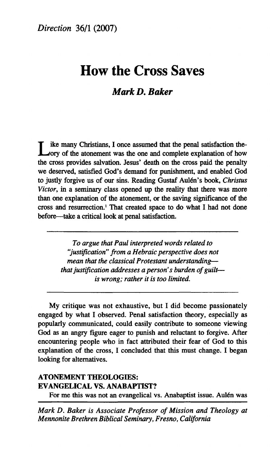# **How the Cross Saves**

# *Mark D. Baker*

L ike many Christians, I once assumed that the penal satisfaction the-<br>ory of the atonement was the one and complete explanation of how ike many Christians, I once assumed that the penal satisfaction thethe cross provides salvation. Jesus' death on the cross paid the penalty we deserved, satisfied God's demand for punishment, and enabled God to justly forgive us of our sins. Reading Gustaf Aulén's book, *Christus Victor,* in a seminary class opened up the reality that there was more than one explanation of the atonement, or the saving significance of the cross and resurrection.<sup>1</sup> That created space to do what I had not done before—take a critical look at penal satisfaction.

> *To argue that Paul interpreted words related to "justification" from a Hebraic perspective does not mean that the classical Protestant understanding that justification addresses a person's burden of guilt is wrong; rather it is too limited.*

My critique was not exhaustive, but I did become passionately engaged by what I observed. Penal satisfaction theory, especially as popularly communicated, could easily contribute to someone viewing God as an angry figure eager to punish and reluctant to forgive. After encountering people who in fact attributed their fear of God to this explanation of the cross, I concluded that this must change. I began looking for alternatives.

# **ATONEMENT THEOLOGIES: EVANGELICAL VS. ANABAPTIST?**

For me this was not an evangelical vs. Anabaptist issue. Aulén was

*Mark D. Baker is Associate Professor of Mission and Theology at Mennonite Brethren Biblical Seminary, Fresno, California*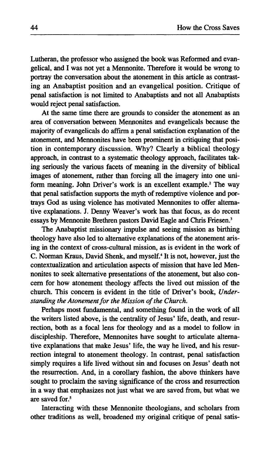**Lutheran, the professor who assigned the book was Reformed and evangelical, and I was not yet a Mennonite. Therefore it would be wrong to portray the conversation about the atonement in this article as contrasting an Anabaptist position and an evangelical position. Critique of penal satisfaction is not limited to Anabaptists and not all Anabaptists would reject penal satisfaction.** 

**At the same time there are grounds to consider the atonement as an area of conversation between Mennonites and evangelicals because the majority of evangelicals do affirm a penal satisfaction explanation of the atonement, and Mennonites have been prominent in critiquing that position in contemporary discussion. Why? Clearly a biblical theology approach, in contrast to a systematic theology approach, facilitates taking seriously the various facets of meaning in the diversity of biblical images of atonement, rather than forcing all the imagery into one uniform meaning. John Driver's work is an excellent example.<sup>2</sup> The way that penal satisfaction supports the myth of redemptive violence and portrays God as using violence has motivated Mennonites to offer alternative explanations. J. Denny Weaver's work has that focus, as do recent essays by Mennonite Brethren pastors David Eagle and Chris Friesen.<sup>3</sup>**

**The Anabaptist missionary impulse and seeing mission as birthing theology have also led to alternative explanations of the atonement arising in the context of cross-cultural mission, as is evident in the work of C. Norman Kraus, David Shenk, and myself.<sup>4</sup> It is not, however, just the contextualization and articulation aspects of mission that have led Mennonites to seek alternative presentations of the atonement, but also concern for how atonement theology affects the lived out mission of the church. This concern is evident in the title of Driver's book,** *Understanding the Atonement for the Mission of the Church.* 

**Perhaps most fundamental, and something found in the work of all the writers listed above, is the centrality of Jesus' life, death, and resurrection, both as a focal lens for theology and as a model to follow in discipleship. Therefore, Mennonites have sought to articulate alternative explanations that make Jesus' life, the way he lived, and his resurrection integral to atonement theology. In contrast, penal satisfaction simply requires a life lived without sin and focuses on Jesus' death not the resurrection. And, in a corollary fashion, the above thinkers have sought to proclaim the saving significance of the cross and resurrection in a way that emphasizes not just what we are saved from, but what we are saved for.<sup>5</sup>**

**Interacting with these Mennonite theologians, and scholars from other traditions as well, broadened my original critique of penal satis-**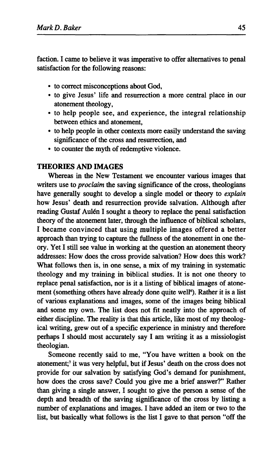faction. I came to believe it was imperative to offer alternatives to penal satisfaction for the following reasons:

- to correct misconceptions about God,
- to give Jesus' life and resurrection a more central place in our atonement theology,
- to help people see, and experience, the integral relationship between ethics and atonement,
- to help people in other contexts more easily understand the saving significance of the cross and resurrection, and
- to counter the myth of redemptive violence.

## **THEORIES AND IMAGES**

Whereas in the New Testament we encounter various images that writers use to *proclaim* the saving significance of the cross, theologians have generally sought to develop a single model or theory to *explain*  how Jesus' death and resurrection provide salvation. Although after reading Gustaf Aulén I sought a theory to replace the penal satisfaction theory of the atonement later, through the influence of biblical scholars, I became convinced that using multiple images offered a better approach than trying to capture the fullness of the atonement in one theory. Yet I still see value in working at the question an atonement theory addresses: How does the cross provide salvation? How does this work? What follows then is, in one sense, a mix of my training in systematic theology and my training in biblical studies. It is not one theory to replace penal satisfaction, nor is it a listing of biblical images of atonement (something others have already done quite well<sup>6</sup>). Rather it is a list of various explanations and images, some of the images being biblical and some my own. The list does not fit neatly into the approach of either discipline. The reality is that this article, like most of my theological writing, grew out of a specific experience in ministry and therefore perhaps I should most accurately say I am writing it as a missiologist theologian.

Someone recently said to me, "You have written a book on the atonement;<sup>7</sup> it was very helpful, but if Jesus' death on the cross does not provide for our salvation by satisfying God's demand for punishment, how does the cross save? Could you give me a brief answer?" Rather than giving a single answer, I sought to give the person a sense of the depth and breadth of the saving significance of the cross by listing a number of explanations and images. I have added an item or two to the list, but basically what follows is the list I gave to that person "off the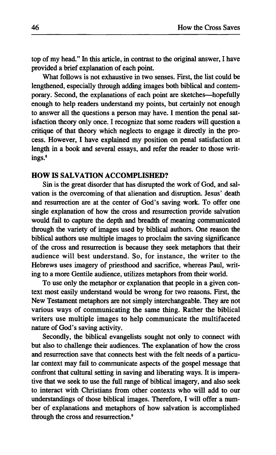top of my head." In this article, in contrast to the original answer, I have provided a brief explanation of each point.

What follows is not exhaustive in two senses. First, the list could be lengthened, especially through adding images both biblical and contemporary. Second, the explanations of each point are sketches—hopefully enough to help readers understand my points, but certainly not enough to answer all the questions a person may have. I mention the penal satisfaction theory only once. I recognize that some readers will question a critique of that theory which neglects to engage it directly in the process. However, I have explained my position on penal satisfaction at length in a book and several essays, and refer the reader to those writings.<sup>8</sup>

## **HOW IS SALVATION ACCOMPLISHED?**

Sin is the great disorder that has disrupted the work of God, and salvation is the overcoming of that alienation and disruption. Jesus' death and resurrection are at the center of God's saving work. To offer one single explanation of how the cross and resurrection provide salvation would fail to capture the depth and breadth of meaning communicated through the variety of images used by biblical authors. One reason the biblical authors use multiple images to proclaim the saving significance of the cross and resurrection is because they seek metaphors that their audience will best understand. So, for instance, the writer to the Hebrews uses imagery of priesthood and sacrifice, whereas Paul, writing to a more Gentile audience, utilizes metaphors from their world.

To use only the metaphor or explanation that people in a given context most easily understand would be wrong for two reasons. First, the New Testament metaphors are not simply interchangeable. They are not various ways of communicating the same thing. Rather the biblical writers use multiple images to help communicate the multifaceted nature of God's saving activity.

Secondly, the biblical evangelists sought not only to connect with but also to challenge their audiences. The explanation of how the cross and resurrection save that connects best with the felt needs of a particular context may fail to communicate aspects of the gospel message that confront that cultural setting in saving and liberating ways. It is imperative that we seek to use the full range of biblical imagery, and also seek to interact with Christians from other contexts who will add to our understandings of those biblical images. Therefore, I will offer a number of explanations and metaphors of how salvation is accomplished through the cross and resurrection.<sup>9</sup>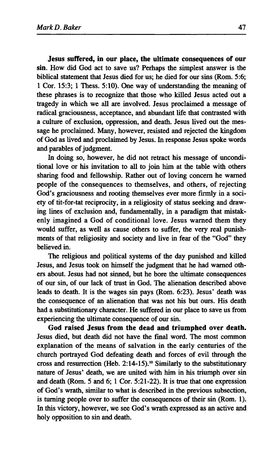**Jesus suffered, in our place, the ultimate consequences of our sin.** How did God act to save us? Perhaps the simplest answer is the biblical statement that Jesus died for us; he died for our sins (Rom. 5:6; 1 Cor. 15:3; 1 Thess. 5:10). One way of understanding the meaning of these phrases is to recognize that those who killed Jesus acted out a tragedy in which we all are involved. Jesus proclaimed a message of radical graciousness, acceptance, and abundant life that contrasted with a culture of exclusion, oppression, and death. Jesus lived out the message he proclaimed. Many, however, resisted and rejected the kingdom of God as lived and proclaimed by Jesus. In response Jesus spoke words and parables of judgment.

In doing so, however, he did not retract his message of unconditional love or his invitation to all to join him at the table with others sharing food and fellowship. Rather out of loving concern he warned people of the consequences to themselves, and others, of rejecting God's graciousness and rooting themselves ever more firmly in a society of tit-for-tat reciprocity, in a religiosity of status seeking and drawing lines of exclusion and, fundamentally, in a paradigm that mistakenly imagined a God of conditional love. Jesus warned them they would suffer, as well as cause others to suffer, the very real punishments of that religiosity and society and live in fear of the "God" they believed in.

The religious and political systems of the day punished and killed Jesus, and Jesus took on himself the judgment that he had warned others about. Jesus had not sinned, but he bore the ultimate consequences of our sin, of our lack of trust in God. The alienation described above leads to death. It is the wages sin pays (Rom. 6:23). Jesus' death was the consequence of an alienation that was not his but ours. His death had a substitutionary character. He suffered in our place to save us from experiencing the ultimate consequence of our sin.

**God raised Jesus from the dead and triumphed over death.**  Jesus died, but death did not have the final word. The most common explanation of the means of salvation in the early centuries of the church portrayed God defeating death and forces of evil through the cross and resurrection (Heb.  $2:14-15$ ).<sup>10</sup> Similarly to the substitutionary nature of Jesus' death, we are united with him in his triumph over sin and death (Rom. 5 and 6; 1 Cor. 5:21-22). It is true that one expression of God's wrath, similar to what is described in the previous subsection, is turning people over to suffer the consequences of their sin (Rom. 1). In this victory, however, we see God's wrath expressed as an active and holy opposition to sin and death.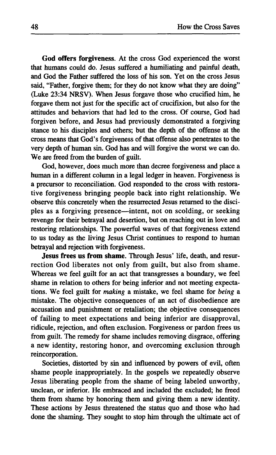**God offers forgiveness.** At the cross God experienced the worst that humans could do. Jesus suffered a humiliating and painful death, and God the Father suffered the loss of his son. Yet on the cross Jesus said, "Father, forgive them; for they do not know what they are doing" (Luke 23:34 NRSV). When Jesus forgave those who crucified him, he forgave them not just for the specific act of crucifixion, but also for the attitudes and behaviors that had led to the cross. Of course, God had forgiven before, and Jesus had previously demonstrated a forgiving stance to his disciples and others; but the depth of the offense at the cross means that God's forgiveness of that offense also penetrates to the very depth of human sin. God has and will forgive the worst we can do. We are freed from the burden of guilt.

God, however, does much more than decree forgiveness and place a human in a different column in a legal ledger in heaven. Forgiveness is a precursor to reconciliation. God responded to the cross with restorative forgiveness bringing people back into right relationship. We observe this concretely when the resurrected Jesus returned to the disciples as a forgiving presence—intent, not on scolding, or seeking revenge for their betrayal and desertion, but on reaching out in love and restoring relationships. The powerful waves of that forgiveness extend to us today as the living Jesus Christ continues to respond to human betrayal and rejection with forgiveness.

**Jesus frees us from shame.** Through Jesus' life, death, and resurrection God liberates not only from guilt, but also from shame. Whereas we feel guilt for an act that transgresses a boundary, we feel shame in relation to others for being inferior and not meeting expectations. We feel guilt for *making* a mistake, we feel shame for *being* a mistake. The objective consequences of an act of disobedience are accusation and punishment or retaliation; the objective consequences of failing to meet expectations and being inferior are disapproval, ridicule, rejection, and often exclusion. Forgiveness or pardon frees us from guilt. The remedy for shame includes removing disgrace, offering a new identity, restoring honor, and overcoming exclusion through reincorporation.

Societies, distorted by sin and influenced by powers of evil, often shame people inappropriately. In the gospels we repeatedly observe Jesus liberating people from the shame of being labeled unworthy, unclean, or inferior. He embraced and included the excluded; he freed them from shame by honoring them and giving them a new identity. These actions by Jesus threatened the status quo and those who had done the shaming. They sought to stop him through the ultimate act of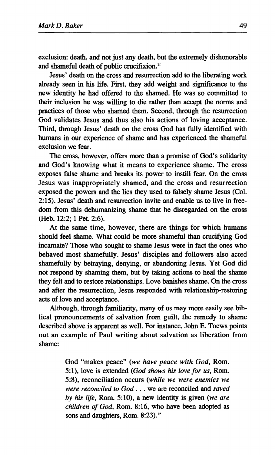**exclusion: death, and not just any death, but the extremely dishonorable and shameful death of public crucifixion.<sup>11</sup>**

**Jesus' death on the cross and resurrection add to the liberating work already seen in his life. First, they add weight and significance to the new identity he had offered to the shamed. He was so committed to their inclusion he was willing to die rather than accept the norms and practices of those who shamed them. Second, through the resurrection God validates Jesus and thus also his actions of loving acceptance. Third, through Jesus' death on the cross God has fully identified with humans in our experience of shame and has experienced the shameful exclusion we fear.** 

**The cross, however, offers more than a promise of God's solidarity and God's knowing what it means to experience shame. The cross exposes false shame and breaks its power to instill fear. On the cross Jesus was inappropriately shamed, and the cross and resurrection exposed the powers and the lies they used to falsely shame Jesus (Col. 2:15). Jesus' death and resurrection invite and enable us to live in freedom from this dehumanizing shame that he disregarded on the cross (Heb. 12:2; 1 Pet. 2:6).** 

**At the same time, however, there are things for which humans should feel shame. What could be more shameful than crucifying God incarnate? Those who sought to shame Jesus were in fact the ones who behaved most shamefully. Jesus' disciples and followers also acted shamefully by betraying, denying, or abandoning Jesus. Yet God did not respond by shaming them, but by taking actions to heal the shame they felt and to restore relationships. Love banishes shame. On the cross and after the resurrection, Jesus responded with relationship-restoring acts of love and acceptance.** 

**Although, through familiarity, many of us may more easily see biblical pronouncements of salvation from guilt, the remedy to shame described above is apparent as well. For instance, John E. Toews points out an example of Paul writing about salvation as liberation from shame:** 

> **God "makes peace"** *{we have peace with God,* **Rom. 5:1), love is extended** *(God shows his love for us,* **Rom. 5:8), reconciliation occurs** *(while we were enemies we were reconciled to God* **.. . we are reconciled and** *saved by his life,* **Rom. 5:10), a new identity is given** *(we are children of God,* **Rom. 8:16, who have been adopted as sons and daughters, Rom. 8:23).<sup>12</sup>**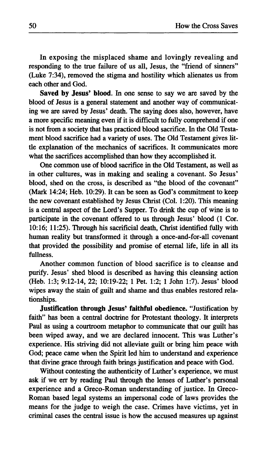In exposing the misplaced shame and lovingly revealing and responding to the true failure of us all, Jesus, the "friend of sinners" (Luke 7:34), removed the stigma and hostility which alienates us from each other and God.

**Saved by Jesus' blood.** In one sense to say we are saved by the blood of Jesus is a general statement and another way of communicating we are saved by Jesus' death. The saying does also, however, have a more specific meaning even if it is difficult to fully comprehend if one is not from a society that has practiced blood sacrifice. In the Old Testament blood sacrifice had a variety of uses. The Old Testament gives little explanation of the mechanics of sacrifices. It communicates more what the sacrifices accomplished than how they accomplished it.

One common use of blood sacrifice in the Old Testament, as well as in other cultures, was in making and sealing a covenant. So Jesus' blood, shed on the cross, is described as "the blood of the covenant" (Mark 14:24; Heb. 10:29). It can be seen as God's commitment to keep the new covenant established by Jesus Christ (Col. 1:20). This meaning is a central aspect of the Lord's Supper. To drink the cup of wine is to participate in the covenant offered to us through Jesus' blood (1 Cor. 10:16; 11:25). Through his sacrificial death, Christ identified fully with human reality but transformed it through a once-and-for-all covenant that provided the possibility and promise of eternal life, life in all its fullness.

Another common function of blood sacrifice is to cleanse and purify. Jesus' shed blood is described as having this cleansing action (Heb. 1:3; 9:12-14, 22; 10:19-22; 1 Pet. 1:2; 1 John 1:7). Jesus' blood wipes away the stain of guilt and shame and thus enables restored relationships.

**Justification through Jesus' faithful obedience.** "Justification by faith" has been a central doctrine for Protestant theology. It interprets Paul as using a courtroom metaphor to communicate that our guilt has been wiped away, and we are declared innocent. This was Luther's experience. His striving did not alleviate guilt or bring him peace with God; peace came when the Spirit led him to understand and experience that divine grace through faith brings justification and peace with God.

Without contesting the authenticity of Luther's experience, we must ask if we err by reading Paul through the lenses of Luther's personal experience and a Greco-Roman understanding of justice. In Greco-Roman based legal systems an impersonal code of laws provides the means for the judge to weigh the case. Crimes have victims, yet in criminal cases the central issue is how the accused measures up against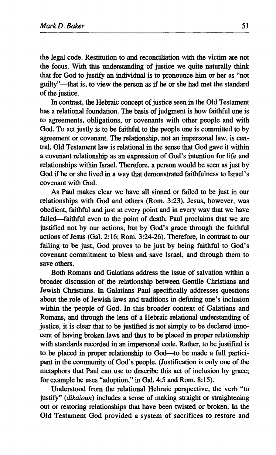**the legal code. Restitution to and reconciliation with the victim are not the focus. With this understanding of justice we quite naturally think that for God to justify an individual is to pronounce him or her as "not guilty"—that is, to view the person as if he or she had met the standard of the justice.** 

**In contrast, the Hebraic concept of justice seen in the Old Testament has a relational foundation. The basis of judgment is how faithful one is to agreements, obligations, or covenants with other people and with God. To act justly is to be faithful to the people one is committed to by agreement or covenant. The relationship, not an impersonal law, is central. Old Testament law is relational in the sense that God gave it within a covenant relationship as an expression of God's intention for life and relationships within Israel. Therefore, a person would be seen as just by God if he or she lived in a way that demonstrated faithfulness to Israel's covenant with God.** 

**As Paul makes clear we have all sinned or failed to be just in our relationships with God and others (Rom. 3:23). Jesus, however, was obedient, faithful and just at every point and in every way that we have failed—faithful even to the point of death. Paul proclaims that we are justified not by our actions, but by God's grace through the faithful actions of Jesus (Gal. 2:16; Rom. 3:24-26). Therefore, in contrast to our failing to be just, God proves to be just by being faithful to God's covenant commitment to bless and save Israel, and through them to save others.** 

**Both Romans and Galatians address the issue of salvation within a broader discussion of the relationship between Gentile Christians and Jewish Christians. In Galatians Paul specifically addresses questions about the role of Jewish laws and traditions in defining one's inclusion within the people of God. In this broader context of Galatians and Romans, and through the lens of a Hebraic relational understanding of justice, it is clear that to be justified is not simply to be declared innocent of having broken laws and thus to be placed in proper relationship with standards recorded in an impersonal code. Rather, to be justified is to be placed in proper relationship to God—to be made a full participant in the community of God's people. (Justification is only one of the metaphors that Paul can use to describe this act of inclusion by grace; for example he uses "adoption," in Gal. 4:5 and Rom. 8:15).** 

**Understood from the relational Hebraic perspective, the verb "to justify"** *(dikaioun)* **includes a sense of making straight or straightening out or restoring relationships that have been twisted or broken. In the Old Testament God provided a system of sacrifices to restore and**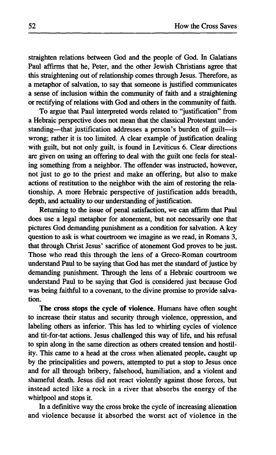straighten relations between God and the people of God. In Galatians Paul affirms that he, Peter, and the other Jewish Christians agree that this straightening out of relationship comes through Jesus. Therefore, as a metaphor of salvation, to say that someone is justified communicates a sense of inclusion within the community of faith and a straightening or rectifying of relations with God and others in the community of faith.

To argue that Paul interpreted words related to "justification" from a Hebraic perspective does not mean that the classical Protestant understanding—that justification addresses a person's burden of guilt—is wrong; rather it is too limited. A clear example of justification dealing with guilt, but not only guilt, is found in Leviticus 6. Clear directions are given on using an offering to deal with the guilt one feels for stealing something from a neighbor. The offender was instructed, however, not just to go to the priest and make an offering, but also to make actions of restitution to the neighbor with the aim of restoring the relationship. A more Hebraic perspective of justification adds breadth, depth, and actuality to our understanding of justification.

Returning to the issue of penal satisfaction, we can affirm that Paul does use a legal metaphor for atonement, but not necessarily one that pictures God demanding punishment as a condition for salvation. A key question to ask is what courtroom we imagine as we read, in Romans 3, that through Christ Jesus' sacrifice of atonement God proves to be just. Those who read this through the lens of a Greco-Roman courtroom understand Paul to be saying that God has met the standard of justice by demanding punishment. Through the lens of a Hebraic courtroom we understand Paul to be saying that God is considered just because God was being faithful to a covenant, to the divine promise to provide salvation.

**The cross stops the cycle of violence.** Humans have often sought to increase their status and security through violence, oppression, and labeling others as inferior. This has led to whirling cycles of violence and tit-for-tat actions. Jesus challenged this way of life, and his refusal to spin along in the same direction as others created tension and hostility. This came to a head at the cross when alienated people, caught up by the principalities and powers, attempted to put a stop to Jesus once and for all through bribery, falsehood, humiliation, and a violent and shameful death. Jesus did not react violently against those forces, but instead acted like a rock in a river that absorbs the energy of the whirlpool and stops it.

In a definitive way the cross broke the cycle of increasing alienation and violence because it absorbed the worst act of violence in the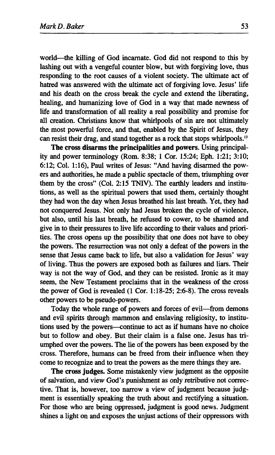world—the killing of God incarnate. God did not respond to this by lashing out with a vengeful counter blow, but with forgiving love, thus responding to the root causes of a violent society. The ultimate act of hatred was answered with the ultimate act of forgiving love. Jesus' life and his death on the cross break the cycle and extend the liberating, healing, and humanizing love of God in a way that made newness of life and transformation of all reality a real possibility and promise for all creation. Christians know that whirlpools of sin are not ultimately the most powerful force, and that, enabled by the Spirit of Jesus, they can resist their drag, and stand together as a rock that stops whirlpools.<sup>13</sup>

**The cross disarms the principalities and powers.** Using principality and power terminology (Rom. 8:38; 1 Cor. 15:24; Eph. 1:21; 3:10; 6:12; Col. 1:16), Paul writes of Jesus: "And having disarmed the powers and authorities, he made a public spectacle of them, triumphing over them by the cross" (Col. 2:15 TNIV). The earthly leaders and institutions, as well as the spiritual powers that used them, certainly thought they had won the day when Jesus breathed his last breath. Yet, they had not conquered Jesus. Not only had Jesus broken the cycle of violence, but also, until his last breath, he refused to cower, to be shamed and give in to their pressures to live life according to their values and priorities. The cross opens up the possibility that one does not have to obey the powers. The resurrection was not only a defeat of the powers in the sense that Jesus came back to life, but also a validation for Jesus' way of living. Thus the powers are exposed both as failures and liars. Their way is not the way of God, and they can be resisted. Ironic as it may seem, the New Testament proclaims that in the weakness of the cross the power of God is revealed (1 Cor. 1:18-25; 2:6-8). The cross reveals other powers to be pseudo-powers.

Today the whole range of powers and forces of evil—from demons and evil spirits through mammon and enslaving religiosity, to institutions used by the powers—continue to act as if humans have no choice but to follow and obey. But their claim is a false one. Jesus has triumphed over the powers. The lie of the powers has been exposed by the cross. Therefore, humans can be freed from their influence when they come to recognize and to treat the powers as the mere things they are.

**The cross judges.** Some mistakenly view judgment as the opposite of salvation, and view God's punishment as only retributive not corrective. That is, however, too narrow a view of judgment because judgment is essentially speaking the truth about and rectifying a situation. For those who are being oppressed, judgment is good news. Judgment shines a light on and exposes the unjust actions of their oppressors with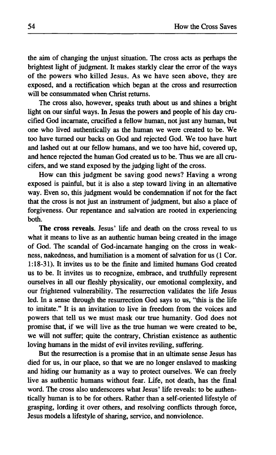the aim of changing the unjust situation. The cross acts as perhaps the brightest light of judgment. It makes starkly clear the error of the ways of the powers who killed Jesus. As we have seen above, they are exposed, and a rectification which began at the cross and resurrection will be consummated when Christ returns.

The cross also, however, speaks truth about us and shines a bright light on our sinful ways. In Jesus the powers and people of his day crucified God incarnate, crucified a fellow human, not just any human, but one who lived authentically as the human we were created to be. We too have turned our backs on God and rejected God. We too have hurt and lashed out at our fellow humans, and we too have hid, covered up, and hence rejected the human God created us to be. Thus we are all crucifers, and we stand exposed by the judging light of the cross.

How can this judgment be saving good news? Having a wrong exposed is painful, but it is also a step toward living in an alternative way. Even so, this judgment would be condemnation if not for the fact that the cross is not just an instrument of judgment, but also a place of forgiveness. Our repentance and salvation are rooted in experiencing both.

**The cross reveals.** Jesus' life and death on the cross reveal to us what it means to live as an authentic human being created in the image of God. The scandal of God-incarnate hanging on the cross in weakness, nakedness, and humiliation is a moment of salvation for us (1 Cor. 1:18-31). It invites us to be the finite and limited humans God created us to be. It invites us to recognize, embrace, and truthfully represent ourselves in all our fleshly physicality, our emotional complexity, and our frightened vulnerability. The resurrection validates the life Jesus led. In a sense through the resurrection God says to us, "this is the life to imitate." It is an invitation to live in freedom from the voices and powers that tell us we must mask our true humanity. God does not promise that, if we will live as the true human we were created to be, we will not suffer; quite the contrary, Christian existence as authentic loving humans in the midst of evil invites reviling, suffering.

But the resurrection is a promise that in an ultimate sense Jesus has died for us, in our place, so that we are no longer enslaved to masking and hiding our humanity as a way to protect ourselves. We can freely live as authentic humans without fear. Life, not death, has the final word. The cross also underscores what Jesus' life reveals: to be authentically human is to be for others. Rather than a self-oriented lifestyle of grasping, lording it over others, and resolving conflicts through force, Jesus models a lifestyle of sharing, service, and nonviolence.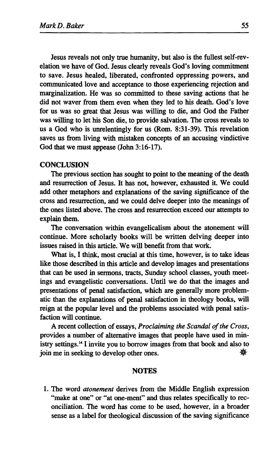Jesus reveals not only true humanity, but also is the fullest self-revelation we have of God. Jesus clearly reveals God's loving commitment to save. Jesus healed, liberated, confronted oppressing powers, and communicated love and acceptance to those experiencing rejection and marginalization. He was so committed to these saving actions that he did not waver from them even when they led to his death. God's love for us was so great that Jesus was willing to die, and God the Father was willing to let his Son die, to provide salvation. The cross reveals to us a God who is unrelentingly for us (Rom. 8:31-39). This revelation saves us from living with mistaken concepts of an accusing vindictive God that we must appease (John 3:16-17).

## **CONCLUSION**

The previous section has sought to point to the meaning of the death and resurrection of Jesus. It has not, however, exhausted it. We could add other metaphors and explanations of the saving significance of the cross and resurrection, and we could delve deeper into the meanings of the ones listed above. The cross and resurrection exceed our attempts to explain them.

The conversation within evangelicalism about the atonement will continue. More scholarly books will be written delving deeper into issues raised in this article. We will benefit from that work.

What is, I think, most crucial at this time, however, is to take ideas like those described in this article and develop images and presentations that can be used in sermons, tracts, Sunday school classes, youth meetings and evangelistic conversations. Until we do that the images and presentations of penal satisfaction, which are generally more problematic than the explanations of penal satisfaction in theology books, will reign at the popular level and the problems associated with penal satisfaction will continue.

A recent collection of essays, *Proclaiming the Scandal of the Cross,*  provides a number of alternative images that people have used in ministry settings.<sup>14</sup>1 invite you to borrow images from that book and also to join me in seeking to develop other ones. **Φ** 

#### **NOTES**

1. The word *atonement* derives from the Middle English expression "make at one" or "at one-ment" and thus relates specifically to reconciliation. The word has come to be used, however, in a broader sense as a label for theological discussion of the saving significance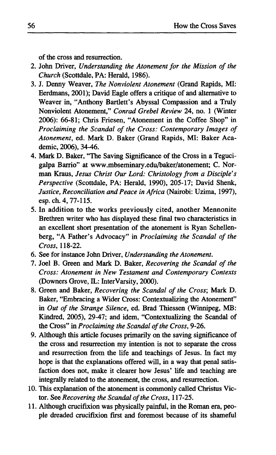**of the cross and resurrection.** 

- **2. John Driver,** *Understanding the Atonement for the Mission of the Church* **(Scottdale, PA: Herald, 1986).**
- **3. J. Denny Weaver,** *The Nonviolent Atonement* **(Grand Rapids, MI: Eerdmans, 2001); David Eagle offers a critique of and alternative to Weaver in, "Anthony Bartlett's Abyssal Compassion and a Truly Nonviolent Atonement,"** *Conrad Grebel Review* **24, no. 1 (Winter 2006): 66-81; Chris Friesen, "Atonement in the Coffee Shop" in**  *Proclaiming the Scandal of the Cross: Contemporary Images of Atonement,* **ed. Mark D. Baker (Grand Rapids, MI: Baker Academic, 2006), 34-46.**
- **4. Mark D. Baker, "The Saving Significance of the Cross in a Tegucigalpa Barrio" at [www.mbseminary.edu/baker/atonement;](http://www.mbseminary.edu/baker/atonement) C. Norman Kraus,** *Jesus Christ Our Lord: Christology from a Disciple's Perspective* **(Scottdale, PA: Herald, 1990), 205-17; David Shenk,**  *Justice, Reconciliation and Peace in Africa* **(Nairobi: Uzima, 1997), esp.ch. 4,77-115.**
- **5. In addition to the works previously cited, another Mennonite Brethren writer who has displayed these final two characteristics in an excellent short presentation of the atonement is Ryan Schellenberg, "A Father's Advocacy" in** *Proclaiming the Scandal of the Cross,* **118-22.**
- **6. See for instance John Driver,** *Understanding the Atonement.*
- **7. Joel B. Green and Mark D. Baker,** *Recovering the Scandal of the Cross: Atonement in New Testament and Contemporary Contexts*  (Downers Grove, IL: InterVarsity, 2000).
- **8. Green and Baker,** *Recovering the Scandal of the Cross-,* **Mark D. Baker, "Embracing a Wider Cross: Contextualizing the Atonement" in** *Out of the Strange Silence,* **ed. Brad Thiessen (Winnipeg, MB: Kindred, 2005), 29-47; and idem, "Contextualizing the Scandal of the Cross" in** *Proclaiming the Scandal of the Cross,* **9-26.**
- **9. Although this article focuses primarily on the saving significance of the cross and resurrection my intention is not to separate the cross and resurrection from the life and teachings of Jesus. In fact my hope is that the explanations offered will, in a way that penal satisfaction does not, make it clearer how Jesus' life and teaching are integrally related to the atonement, the cross, and resurrection.**
- **10. This explanation of the atonement is commonly called Christus Victor. See** *Recovering the Scandal of the Cross,* **117-25.**
- **11. Although crucifixion was physically painful, in the Roman era, people dreaded crucifixion first and foremost because of its shameful**